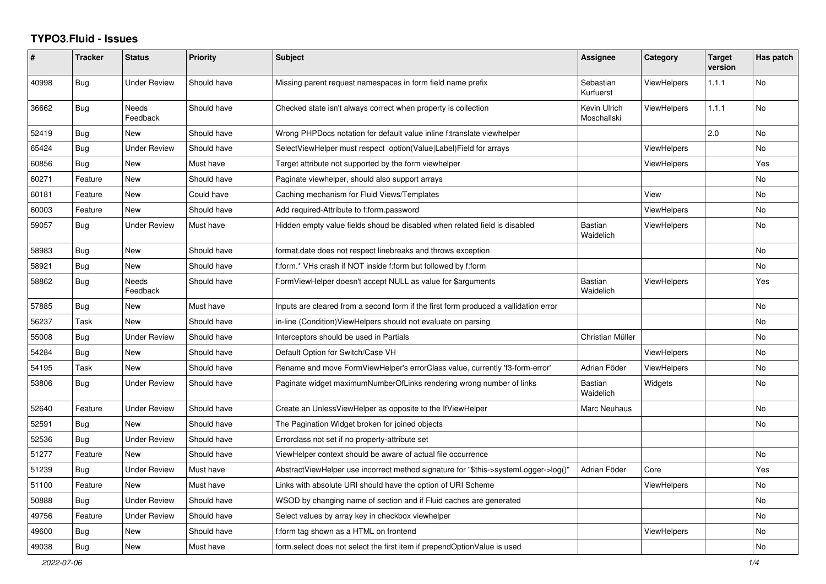## **TYPO3.Fluid - Issues**

| $\pmb{\#}$ | <b>Tracker</b> | <b>Status</b>            | <b>Priority</b> | Subject                                                                              | Assignee                    | Category           | <b>Target</b><br>version | Has patch |
|------------|----------------|--------------------------|-----------------|--------------------------------------------------------------------------------------|-----------------------------|--------------------|--------------------------|-----------|
| 40998      | <b>Bug</b>     | <b>Under Review</b>      | Should have     | Missing parent request namespaces in form field name prefix                          | Sebastian<br>Kurfuerst      | <b>ViewHelpers</b> | 1.1.1                    | <b>No</b> |
| 36662      | Bug            | <b>Needs</b><br>Feedback | Should have     | Checked state isn't always correct when property is collection                       | Kevin Ulrich<br>Moschallski | ViewHelpers        | 1.1.1                    | <b>No</b> |
| 52419      | Bug            | <b>New</b>               | Should have     | Wrong PHPDocs notation for default value inline f:translate viewhelper               |                             |                    | 2.0                      | <b>No</b> |
| 65424      | Bug            | <b>Under Review</b>      | Should have     | SelectViewHelper must respect option(Value Label)Field for arrays                    |                             | ViewHelpers        |                          | No        |
| 60856      | <b>Bug</b>     | New                      | Must have       | Target attribute not supported by the form viewhelper                                |                             | ViewHelpers        |                          | Yes       |
| 60271      | Feature        | New                      | Should have     | Paginate viewhelper, should also support arrays                                      |                             |                    |                          | No        |
| 60181      | Feature        | New                      | Could have      | Caching mechanism for Fluid Views/Templates                                          |                             | View               |                          | No        |
| 60003      | Feature        | <b>New</b>               | Should have     | Add required-Attribute to f:form.password                                            |                             | <b>ViewHelpers</b> |                          | <b>No</b> |
| 59057      | Bug            | <b>Under Review</b>      | Must have       | Hidden empty value fields shoud be disabled when related field is disabled           | <b>Bastian</b><br>Waidelich | <b>ViewHelpers</b> |                          | No        |
| 58983      | Bug            | <b>New</b>               | Should have     | format.date does not respect linebreaks and throws exception                         |                             |                    |                          | <b>No</b> |
| 58921      | Bug            | New                      | Should have     | f:form.* VHs crash if NOT inside f:form but followed by f:form                       |                             |                    |                          | <b>No</b> |
| 58862      | Bug            | <b>Needs</b><br>Feedback | Should have     | FormViewHelper doesn't accept NULL as value for \$arguments                          | Bastian<br>Waidelich        | ViewHelpers        |                          | Yes       |
| 57885      | <b>Bug</b>     | New                      | Must have       | Inputs are cleared from a second form if the first form produced a vallidation error |                             |                    |                          | No        |
| 56237      | Task           | New                      | Should have     | in-line (Condition) View Helpers should not evaluate on parsing                      |                             |                    |                          | No        |
| 55008      | Bug            | <b>Under Review</b>      | Should have     | Interceptors should be used in Partials                                              | Christian Müller            |                    |                          | No        |
| 54284      | Bug            | <b>New</b>               | Should have     | Default Option for Switch/Case VH                                                    |                             | <b>ViewHelpers</b> |                          | <b>No</b> |
| 54195      | Task           | <b>New</b>               | Should have     | Rename and move FormViewHelper's errorClass value, currently 'f3-form-error'         | Adrian Föder                | ViewHelpers        |                          | No        |
| 53806      | Bug            | <b>Under Review</b>      | Should have     | Paginate widget maximumNumberOfLinks rendering wrong number of links                 | Bastian<br>Waidelich        | Widgets            |                          | No        |
| 52640      | Feature        | <b>Under Review</b>      | Should have     | Create an UnlessViewHelper as opposite to the IfViewHelper                           | Marc Neuhaus                |                    |                          | <b>No</b> |
| 52591      | <b>Bug</b>     | <b>New</b>               | Should have     | The Pagination Widget broken for joined objects                                      |                             |                    |                          | <b>No</b> |
| 52536      | Bug            | <b>Under Review</b>      | Should have     | Errorclass not set if no property-attribute set                                      |                             |                    |                          |           |
| 51277      | Feature        | New                      | Should have     | ViewHelper context should be aware of actual file occurrence                         |                             |                    |                          | No        |
| 51239      | Bug            | <b>Under Review</b>      | Must have       | AbstractViewHelper use incorrect method signature for "\$this->systemLogger->log()"  | Adrian Föder                | Core               |                          | Yes       |
| 51100      | Feature        | <b>New</b>               | Must have       | Links with absolute URI should have the option of URI Scheme                         |                             | <b>ViewHelpers</b> |                          | <b>No</b> |
| 50888      | Bug            | <b>Under Review</b>      | Should have     | WSOD by changing name of section and if Fluid caches are generated                   |                             |                    |                          | <b>No</b> |
| 49756      | Feature        | <b>Under Review</b>      | Should have     | Select values by array key in checkbox viewhelper                                    |                             |                    |                          | <b>No</b> |
| 49600      | <b>Bug</b>     | New                      | Should have     | f:form tag shown as a HTML on frontend                                               |                             | ViewHelpers        |                          | No        |
| 49038      | Bug            | New                      | Must have       | form select does not select the first item if prependOptionValue is used             |                             |                    |                          | No        |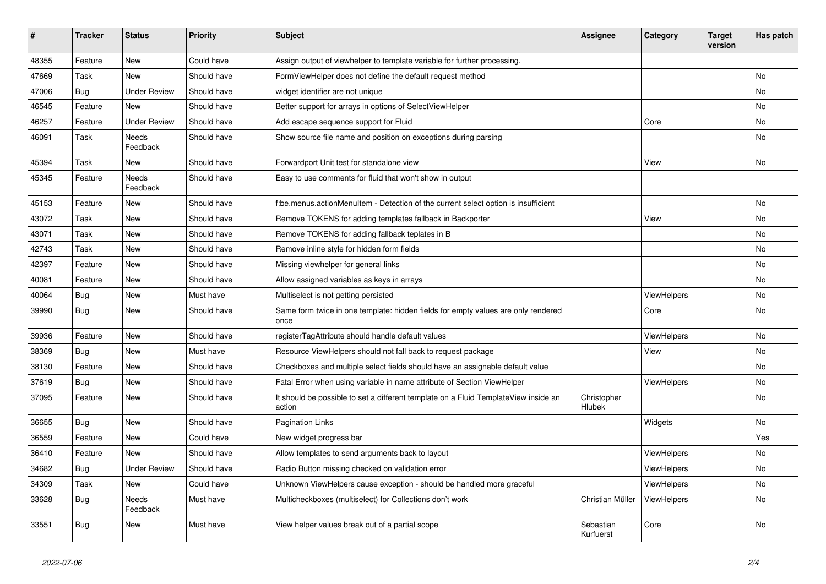| #     | <b>Tracker</b> | <b>Status</b>       | <b>Priority</b> | <b>Subject</b>                                                                                | Assignee               | Category           | <b>Target</b><br>version | Has patch |
|-------|----------------|---------------------|-----------------|-----------------------------------------------------------------------------------------------|------------------------|--------------------|--------------------------|-----------|
| 48355 | Feature        | <b>New</b>          | Could have      | Assign output of viewhelper to template variable for further processing.                      |                        |                    |                          |           |
| 47669 | Task           | New                 | Should have     | FormViewHelper does not define the default request method                                     |                        |                    |                          | <b>No</b> |
| 47006 | Bug            | <b>Under Review</b> | Should have     | widget identifier are not unique                                                              |                        |                    |                          | No        |
| 46545 | Feature        | <b>New</b>          | Should have     | Better support for arrays in options of SelectViewHelper                                      |                        |                    |                          | No        |
| 46257 | Feature        | <b>Under Review</b> | Should have     | Add escape sequence support for Fluid                                                         |                        | Core               |                          | <b>No</b> |
| 46091 | Task           | Needs<br>Feedback   | Should have     | Show source file name and position on exceptions during parsing                               |                        |                    |                          | <b>No</b> |
| 45394 | Task           | New                 | Should have     | Forwardport Unit test for standalone view                                                     |                        | View               |                          | No        |
| 45345 | Feature        | Needs<br>Feedback   | Should have     | Easy to use comments for fluid that won't show in output                                      |                        |                    |                          |           |
| 45153 | Feature        | New                 | Should have     | f:be.menus.actionMenuItem - Detection of the current select option is insufficient            |                        |                    |                          | <b>No</b> |
| 43072 | Task           | <b>New</b>          | Should have     | Remove TOKENS for adding templates fallback in Backporter                                     |                        | View               |                          | <b>No</b> |
| 43071 | Task           | New                 | Should have     | Remove TOKENS for adding fallback teplates in B                                               |                        |                    |                          | <b>No</b> |
| 42743 | Task           | <b>New</b>          | Should have     | Remove inline style for hidden form fields                                                    |                        |                    |                          | <b>No</b> |
| 42397 | Feature        | New                 | Should have     | Missing viewhelper for general links                                                          |                        |                    |                          | <b>No</b> |
| 40081 | Feature        | New                 | Should have     | Allow assigned variables as keys in arrays                                                    |                        |                    |                          | <b>No</b> |
| 40064 | <b>Bug</b>     | New                 | Must have       | Multiselect is not getting persisted                                                          |                        | ViewHelpers        |                          | <b>No</b> |
| 39990 | Bug            | New                 | Should have     | Same form twice in one template: hidden fields for empty values are only rendered<br>once     |                        | Core               |                          | <b>No</b> |
| 39936 | Feature        | <b>New</b>          | Should have     | registerTagAttribute should handle default values                                             |                        | ViewHelpers        |                          | <b>No</b> |
| 38369 | Bug            | <b>New</b>          | Must have       | Resource ViewHelpers should not fall back to request package                                  |                        | View               |                          | No        |
| 38130 | Feature        | <b>New</b>          | Should have     | Checkboxes and multiple select fields should have an assignable default value                 |                        |                    |                          | <b>No</b> |
| 37619 | <b>Bug</b>     | <b>New</b>          | Should have     | Fatal Error when using variable in name attribute of Section ViewHelper                       |                        | <b>ViewHelpers</b> |                          | <b>No</b> |
| 37095 | Feature        | <b>New</b>          | Should have     | It should be possible to set a different template on a Fluid TemplateView inside an<br>action | Christopher<br>Hlubek  |                    |                          | <b>No</b> |
| 36655 | <b>Bug</b>     | New                 | Should have     | <b>Pagination Links</b>                                                                       |                        | Widgets            |                          | No        |
| 36559 | Feature        | New                 | Could have      | New widget progress bar                                                                       |                        |                    |                          | Yes       |
| 36410 | Feature        | <b>New</b>          | Should have     | Allow templates to send arguments back to layout                                              |                        | ViewHelpers        |                          | No        |
| 34682 | Bug            | <b>Under Review</b> | Should have     | Radio Button missing checked on validation error                                              |                        | ViewHelpers        |                          | No        |
| 34309 | Task           | New                 | Could have      | Unknown ViewHelpers cause exception - should be handled more graceful                         |                        | <b>ViewHelpers</b> |                          | <b>No</b> |
| 33628 | Bug            | Needs<br>Feedback   | Must have       | Multicheckboxes (multiselect) for Collections don't work                                      | Christian Müller       | <b>ViewHelpers</b> |                          | <b>No</b> |
| 33551 | Bug            | New                 | Must have       | View helper values break out of a partial scope                                               | Sebastian<br>Kurfuerst | Core               |                          | <b>No</b> |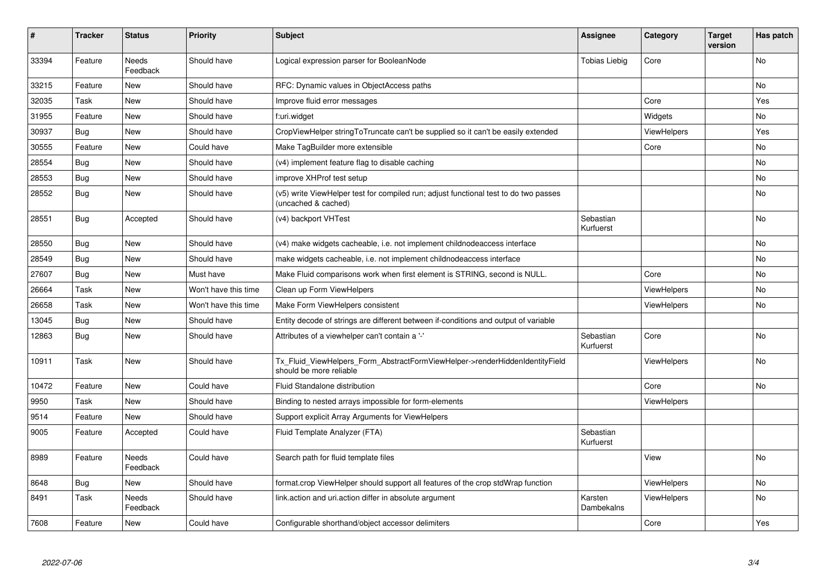| #     | <b>Tracker</b> | <b>Status</b>     | <b>Priority</b>      | <b>Subject</b>                                                                                              | Assignee               | Category           | <b>Target</b><br>version | Has patch |
|-------|----------------|-------------------|----------------------|-------------------------------------------------------------------------------------------------------------|------------------------|--------------------|--------------------------|-----------|
| 33394 | Feature        | Needs<br>Feedback | Should have          | Logical expression parser for BooleanNode                                                                   | <b>Tobias Liebig</b>   | Core               |                          | <b>No</b> |
| 33215 | Feature        | New               | Should have          | RFC: Dynamic values in ObjectAccess paths                                                                   |                        |                    |                          | <b>No</b> |
| 32035 | Task           | New               | Should have          | Improve fluid error messages                                                                                |                        | Core               |                          | Yes       |
| 31955 | Feature        | New               | Should have          | f:uri.widget                                                                                                |                        | Widgets            |                          | No        |
| 30937 | Bug            | New               | Should have          | CropViewHelper stringToTruncate can't be supplied so it can't be easily extended                            |                        | ViewHelpers        |                          | Yes       |
| 30555 | Feature        | New               | Could have           | Make TagBuilder more extensible                                                                             |                        | Core               |                          | No        |
| 28554 | <b>Bug</b>     | New               | Should have          | (v4) implement feature flag to disable caching                                                              |                        |                    |                          | <b>No</b> |
| 28553 | <b>Bug</b>     | New               | Should have          | improve XHProf test setup                                                                                   |                        |                    |                          | <b>No</b> |
| 28552 | <b>Bug</b>     | New               | Should have          | (v5) write ViewHelper test for compiled run; adjust functional test to do two passes<br>(uncached & cached) |                        |                    |                          | No        |
| 28551 | <b>Bug</b>     | Accepted          | Should have          | (v4) backport VHTest                                                                                        | Sebastian<br>Kurfuerst |                    |                          | <b>No</b> |
| 28550 | <b>Bug</b>     | New               | Should have          | (v4) make widgets cacheable, i.e. not implement childnodeaccess interface                                   |                        |                    |                          | <b>No</b> |
| 28549 | Bug            | New               | Should have          | make widgets cacheable, i.e. not implement childnodeaccess interface                                        |                        |                    |                          | <b>No</b> |
| 27607 | <b>Bug</b>     | New               | Must have            | Make Fluid comparisons work when first element is STRING, second is NULL.                                   |                        | Core               |                          | <b>No</b> |
| 26664 | Task           | New               | Won't have this time | Clean up Form ViewHelpers                                                                                   |                        | <b>ViewHelpers</b> |                          | No        |
| 26658 | Task           | New               | Won't have this time | Make Form ViewHelpers consistent                                                                            |                        | <b>ViewHelpers</b> |                          | No        |
| 13045 | <b>Bug</b>     | New               | Should have          | Entity decode of strings are different between if-conditions and output of variable                         |                        |                    |                          |           |
| 12863 | <b>Bug</b>     | <b>New</b>        | Should have          | Attributes of a viewhelper can't contain a '-'                                                              | Sebastian<br>Kurfuerst | Core               |                          | <b>No</b> |
| 10911 | Task           | New               | Should have          | Tx Fluid ViewHelpers Form AbstractFormViewHelper->renderHiddenIdentityField<br>should be more reliable      |                        | <b>ViewHelpers</b> |                          | <b>No</b> |
| 10472 | Feature        | New               | Could have           | Fluid Standalone distribution                                                                               |                        | Core               |                          | No        |
| 9950  | Task           | <b>New</b>        | Should have          | Binding to nested arrays impossible for form-elements                                                       |                        | <b>ViewHelpers</b> |                          |           |
| 9514  | Feature        | <b>New</b>        | Should have          | Support explicit Array Arguments for ViewHelpers                                                            |                        |                    |                          |           |
| 9005  | Feature        | Accepted          | Could have           | Fluid Template Analyzer (FTA)                                                                               | Sebastian<br>Kurfuerst |                    |                          |           |
| 8989  | Feature        | Needs<br>Feedback | Could have           | Search path for fluid template files                                                                        |                        | View               |                          | <b>No</b> |
| 8648  | <b>Bug</b>     | New               | Should have          | format.crop ViewHelper should support all features of the crop stdWrap function                             |                        | ViewHelpers        |                          | <b>No</b> |
| 8491  | Task           | Needs<br>Feedback | Should have          | link.action and uri.action differ in absolute argument                                                      | Karsten<br>Dambekalns  | <b>ViewHelpers</b> |                          | No        |
| 7608  | Feature        | New               | Could have           | Configurable shorthand/object accessor delimiters                                                           |                        | Core               |                          | Yes       |